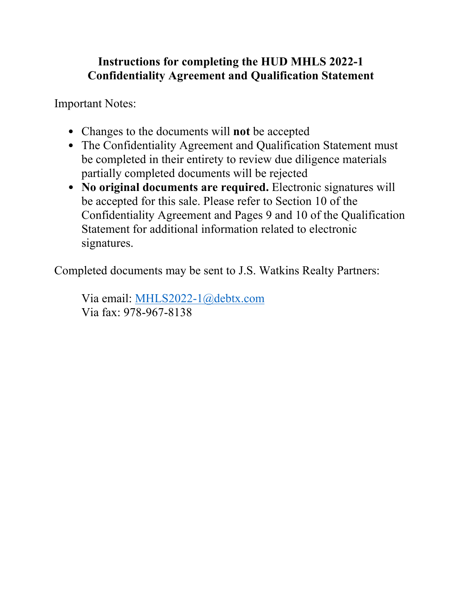# **Instructions for completing the HUD MHLS 2022-1 Confidentiality Agreement and Qualification Statement**

Important Notes:

- Changes to the documents will **not** be accepted
- The Confidentiality Agreement and Qualification Statement must be completed in their entirety to review due diligence materials partially completed documents will be rejected
- **No original documents are required.** Electronic signatures will be accepted for this sale. Please refer to Section 10 of the Confidentiality Agreement and Pages 9 and 10 of the Qualification Statement for additional information related to electronic signatures.

Completed documents may be sent to J.S. Watkins Realty Partners:

Via email: [MHLS2022-1@debtx.com](mailto:MHLS2022-1@debtx.com) Via fax: 978-967-8138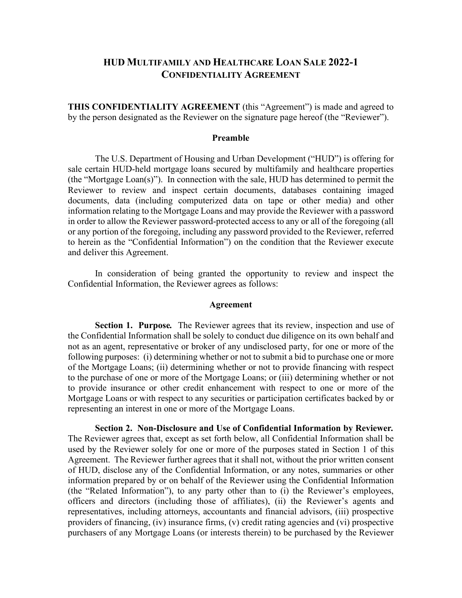## **HUD MULTIFAMILY AND HEALTHCARE LOAN SALE 2022-1 CONFIDENTIALITY AGREEMENT**

**THIS CONFIDENTIALITY AGREEMENT** (this "Agreement") is made and agreed to by the person designated as the Reviewer on the signature page hereof (the "Reviewer").

#### **Preamble**

The U.S. Department of Housing and Urban Development ("HUD") is offering for sale certain HUD-held mortgage loans secured by multifamily and healthcare properties (the "Mortgage Loan(s)"). In connection with the sale, HUD has determined to permit the Reviewer to review and inspect certain documents, databases containing imaged documents, data (including computerized data on tape or other media) and other information relating to the Mortgage Loans and may provide the Reviewer with a password in order to allow the Reviewer password-protected access to any or all of the foregoing (all or any portion of the foregoing, including any password provided to the Reviewer, referred to herein as the "Confidential Information") on the condition that the Reviewer execute and deliver this Agreement.

In consideration of being granted the opportunity to review and inspect the Confidential Information, the Reviewer agrees as follows:

#### **Agreement**

**Section 1. Purpose***.* The Reviewer agrees that its review, inspection and use of the Confidential Information shall be solely to conduct due diligence on its own behalf and not as an agent, representative or broker of any undisclosed party, for one or more of the following purposes: (i) determining whether or not to submit a bid to purchase one or more of the Mortgage Loans; (ii) determining whether or not to provide financing with respect to the purchase of one or more of the Mortgage Loans; or (iii) determining whether or not to provide insurance or other credit enhancement with respect to one or more of the Mortgage Loans or with respect to any securities or participation certificates backed by or representing an interest in one or more of the Mortgage Loans.

**Section 2. Non-Disclosure and Use of Confidential Information by Reviewer***.* The Reviewer agrees that, except as set forth below, all Confidential Information shall be used by the Reviewer solely for one or more of the purposes stated in Section 1 of this Agreement. The Reviewer further agrees that it shall not, without the prior written consent of HUD, disclose any of the Confidential Information, or any notes, summaries or other information prepared by or on behalf of the Reviewer using the Confidential Information (the "Related Information"), to any party other than to (i) the Reviewer's employees, officers and directors (including those of affiliates), (ii) the Reviewer's agents and representatives, including attorneys, accountants and financial advisors, (iii) prospective providers of financing, (iv) insurance firms, (v) credit rating agencies and (vi) prospective purchasers of any Mortgage Loans (or interests therein) to be purchased by the Reviewer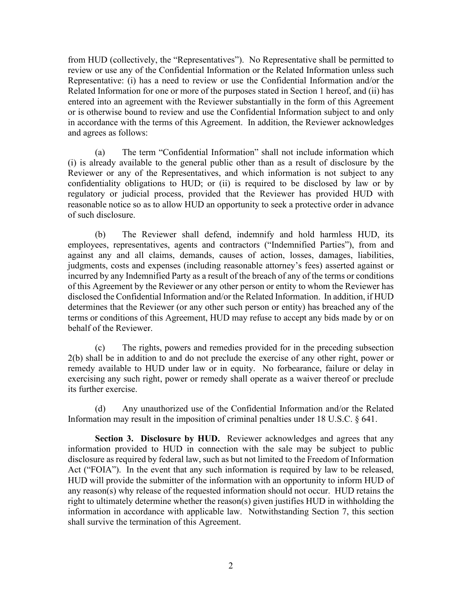from HUD (collectively, the "Representatives"). No Representative shall be permitted to review or use any of the Confidential Information or the Related Information unless such Representative: (i) has a need to review or use the Confidential Information and/or the Related Information for one or more of the purposes stated in Section 1 hereof, and (ii) has entered into an agreement with the Reviewer substantially in the form of this Agreement or is otherwise bound to review and use the Confidential Information subject to and only in accordance with the terms of this Agreement. In addition, the Reviewer acknowledges and agrees as follows:

(a) The term "Confidential Information" shall not include information which (i) is already available to the general public other than as a result of disclosure by the Reviewer or any of the Representatives, and which information is not subject to any confidentiality obligations to HUD; or (ii) is required to be disclosed by law or by regulatory or judicial process, provided that the Reviewer has provided HUD with reasonable notice so as to allow HUD an opportunity to seek a protective order in advance of such disclosure.

(b) The Reviewer shall defend, indemnify and hold harmless HUD, its employees, representatives, agents and contractors ("Indemnified Parties"), from and against any and all claims, demands, causes of action, losses, damages, liabilities, judgments, costs and expenses (including reasonable attorney's fees) asserted against or incurred by any Indemnified Party as a result of the breach of any of the terms or conditions of this Agreement by the Reviewer or any other person or entity to whom the Reviewer has disclosed the Confidential Information and/or the Related Information. In addition, if HUD determines that the Reviewer (or any other such person or entity) has breached any of the terms or conditions of this Agreement, HUD may refuse to accept any bids made by or on behalf of the Reviewer.

(c) The rights, powers and remedies provided for in the preceding subsection 2(b) shall be in addition to and do not preclude the exercise of any other right, power or remedy available to HUD under law or in equity. No forbearance, failure or delay in exercising any such right, power or remedy shall operate as a waiver thereof or preclude its further exercise.

(d) Any unauthorized use of the Confidential Information and/or the Related Information may result in the imposition of criminal penalties under 18 U.S.C. § 641.

**Section 3. Disclosure by HUD.** Reviewer acknowledges and agrees that any information provided to HUD in connection with the sale may be subject to public disclosure as required by federal law, such as but not limited to the Freedom of Information Act ("FOIA"). In the event that any such information is required by law to be released, HUD will provide the submitter of the information with an opportunity to inform HUD of any reason(s) why release of the requested information should not occur. HUD retains the right to ultimately determine whether the reason(s) given justifies HUD in withholding the information in accordance with applicable law. Notwithstanding Section 7, this section shall survive the termination of this Agreement.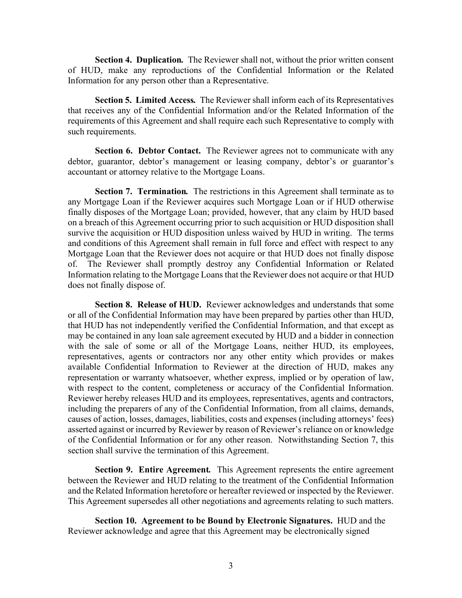**Section 4. Duplication***.* The Reviewer shall not, without the prior written consent of HUD, make any reproductions of the Confidential Information or the Related Information for any person other than a Representative.

**Section 5. Limited Access***.* The Reviewer shall inform each of its Representatives that receives any of the Confidential Information and/or the Related Information of the requirements of this Agreement and shall require each such Representative to comply with such requirements.

**Section 6. Debtor Contact.** The Reviewer agrees not to communicate with any debtor, guarantor, debtor's management or leasing company, debtor's or guarantor's accountant or attorney relative to the Mortgage Loans.

**Section 7. Termination***.* The restrictions in this Agreement shall terminate as to any Mortgage Loan if the Reviewer acquires such Mortgage Loan or if HUD otherwise finally disposes of the Mortgage Loan; provided, however, that any claim by HUD based on a breach of this Agreement occurring prior to such acquisition or HUD disposition shall survive the acquisition or HUD disposition unless waived by HUD in writing. The terms and conditions of this Agreement shall remain in full force and effect with respect to any Mortgage Loan that the Reviewer does not acquire or that HUD does not finally dispose of. The Reviewer shall promptly destroy any Confidential Information or Related Information relating to the Mortgage Loans that the Reviewer does not acquire or that HUD does not finally dispose of.

**Section 8. Release of HUD.** Reviewer acknowledges and understands that some or all of the Confidential Information may have been prepared by parties other than HUD, that HUD has not independently verified the Confidential Information, and that except as may be contained in any loan sale agreement executed by HUD and a bidder in connection with the sale of some or all of the Mortgage Loans, neither HUD, its employees, representatives, agents or contractors nor any other entity which provides or makes available Confidential Information to Reviewer at the direction of HUD, makes any representation or warranty whatsoever, whether express, implied or by operation of law, with respect to the content, completeness or accuracy of the Confidential Information. Reviewer hereby releases HUD and its employees, representatives, agents and contractors, including the preparers of any of the Confidential Information, from all claims, demands, causes of action, losses, damages, liabilities, costs and expenses (including attorneys' fees) asserted against or incurred by Reviewer by reason of Reviewer's reliance on or knowledge of the Confidential Information or for any other reason. Notwithstanding Section 7, this section shall survive the termination of this Agreement.

**Section 9. Entire Agreement***.* This Agreement represents the entire agreement between the Reviewer and HUD relating to the treatment of the Confidential Information and the Related Information heretofore or hereafter reviewed or inspected by the Reviewer. This Agreement supersedes all other negotiations and agreements relating to such matters.

**Section 10. Agreement to be Bound by Electronic Signatures.** HUD and the Reviewer acknowledge and agree that this Agreement may be electronically signed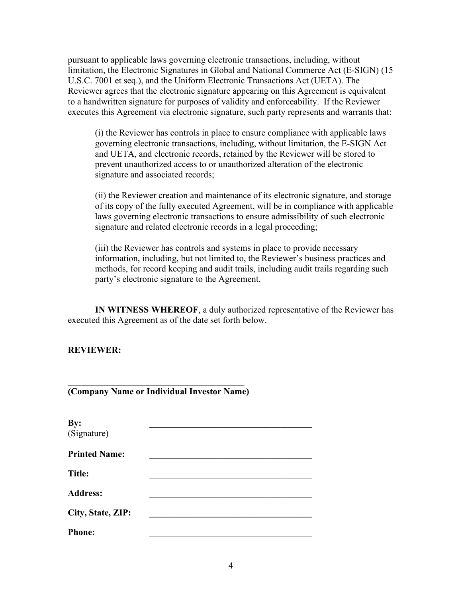pursuant to applicable laws governing electronic transactions, including, without limitation, the Electronic Signatures in Global and National Commerce Act (E-SIGN) (15 U.S.C. 7001 et seq.), and the Uniform Electronic Transactions Act (UETA). The Reviewer agrees that the electronic signature appearing on this Agreement is equivalent to a handwritten signature for purposes of validity and enforceability. If the Reviewer executes this Agreement via electronic signature, such party represents and warrants that:

(i) the Reviewer has controls in place to ensure compliance with applicable laws governing electronic transactions, including, without limitation, the E-SIGN Act and UETA, and electronic records, retained by the Reviewer will be stored to prevent unauthorized access to or unauthorized alteration of the electronic signature and associated records;

(ii) the Reviewer creation and maintenance of its electronic signature, and storage of its copy of the fully executed Agreement, will be in compliance with applicable laws governing electronic transactions to ensure admissibility of such electronic signature and related electronic records in a legal proceeding;

(iii) the Reviewer has controls and systems in place to provide necessary information, including, but not limited to, the Reviewer's business practices and methods, for record keeping and audit trails, including audit trails regarding such party's electronic signature to the Agreement.

**IN WITNESS WHEREOF**, a duly authorized representative of the Reviewer has executed this Agreement as of the date set forth below.

**REVIEWER:**

| (Company Name or Individual Investor Name) |  |  |
|--------------------------------------------|--|--|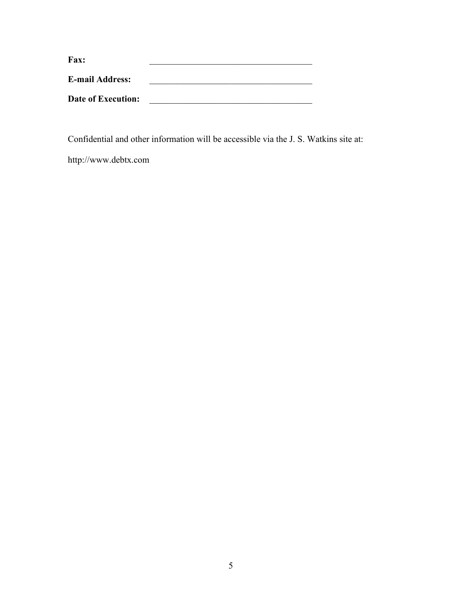| Fax:                      |  |
|---------------------------|--|
| <b>E-mail Address:</b>    |  |
| <b>Date of Execution:</b> |  |

Confidential and other information will be accessible via the J. S. Watkins site at:

http://www.debtx.com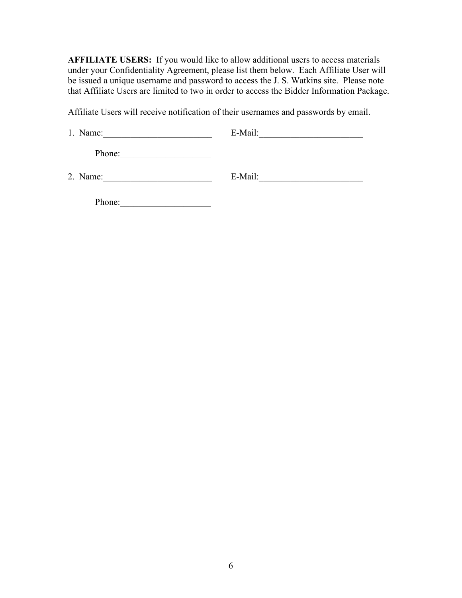**AFFILIATE USERS:** If you would like to allow additional users to access materials under your Confidentiality Agreement, please list them below. Each Affiliate User will be issued a unique username and password to access the J. S. Watkins site. Please note that Affiliate Users are limited to two in order to access the Bidder Information Package.

Affiliate Users will receive notification of their usernames and passwords by email.

| 1. Name: | E-Mail: |
|----------|---------|
| Phone:   |         |
| 2. Name: | E-Mail: |

Phone:\_\_\_\_\_\_\_\_\_\_\_\_\_\_\_\_\_\_\_\_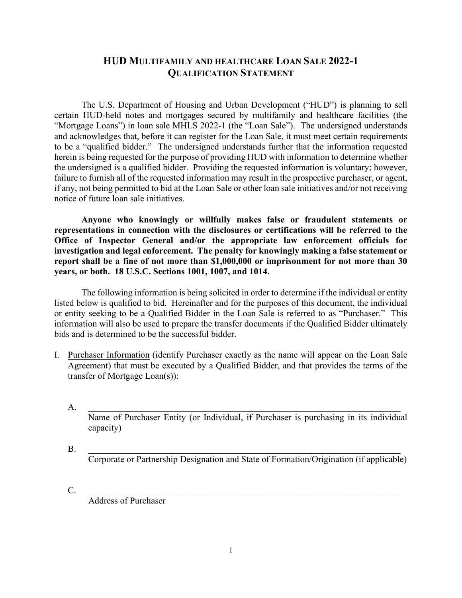## **HUD MULTIFAMILY AND HEALTHCARE LOAN SALE 2022-1 QUALIFICATION STATEMENT**

The U.S. Department of Housing and Urban Development ("HUD") is planning to sell certain HUD-held notes and mortgages secured by multifamily and healthcare facilities (the "Mortgage Loans") in loan sale MHLS 2022-1 (the "Loan Sale"). The undersigned understands and acknowledges that, before it can register for the Loan Sale, it must meet certain requirements to be a "qualified bidder." The undersigned understands further that the information requested herein is being requested for the purpose of providing HUD with information to determine whether the undersigned is a qualified bidder. Providing the requested information is voluntary; however, failure to furnish all of the requested information may result in the prospective purchaser, or agent, if any, not being permitted to bid at the Loan Sale or other loan sale initiatives and/or not receiving notice of future loan sale initiatives.

**Anyone who knowingly or willfully makes false or fraudulent statements or representations in connection with the disclosures or certifications will be referred to the Office of Inspector General and/or the appropriate law enforcement officials for investigation and legal enforcement. The penalty for knowingly making a false statement or report shall be a fine of not more than \$1,000,000 or imprisonment for not more than 30 years, or both. 18 U.S.C. Sections 1001, 1007, and 1014.**

The following information is being solicited in order to determine if the individual or entity listed below is qualified to bid. Hereinafter and for the purposes of this document, the individual or entity seeking to be a Qualified Bidder in the Loan Sale is referred to as "Purchaser." This information will also be used to prepare the transfer documents if the Qualified Bidder ultimately bids and is determined to be the successful bidder.

I. Purchaser Information (identify Purchaser exactly as the name will appear on the Loan Sale Agreement) that must be executed by a Qualified Bidder, and that provides the terms of the transfer of Mortgage Loan(s)):

 ${\rm A.}$   $\quad \, \_$ 

Name of Purchaser Entity (or Individual, if Purchaser is purchasing in its individual capacity)

- $B.$ Corporate or Partnership Designation and State of Formation/Origination (if applicable)
- C. \_\_\_\_\_\_\_\_\_\_\_\_\_\_\_\_\_\_\_\_\_\_\_\_\_\_\_\_\_\_\_\_\_\_\_\_\_\_\_\_\_\_\_\_\_\_\_\_\_\_\_\_\_\_\_\_\_\_\_\_\_\_\_\_\_\_\_\_\_

Address of Purchaser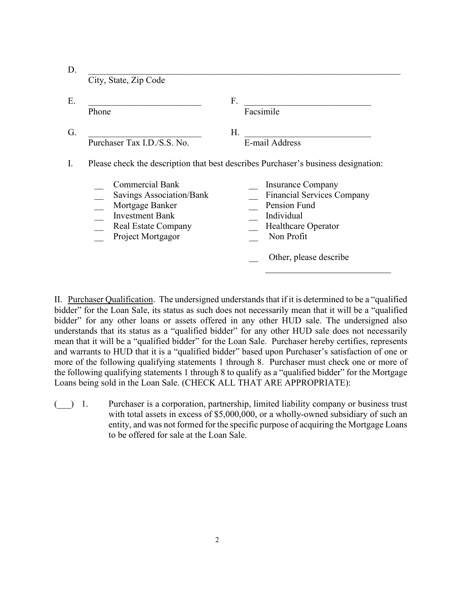| Phone                                                     | F.<br>Facsimile                                                                    |
|-----------------------------------------------------------|------------------------------------------------------------------------------------|
|                                                           | Н.                                                                                 |
|                                                           | E-mail Address                                                                     |
|                                                           | Please check the description that best describes Purchaser's business designation: |
| <b>Commercial Bank</b>                                    | <b>Insurance Company</b>                                                           |
| Savings Association/Bank                                  | <b>Financial Services Company</b>                                                  |
| Mortgage Banker<br><b>Investment Bank</b>                 | Pension Fund<br>Individual                                                         |
| Purchaser Tax I.D./S.S. No.<br><b>Real Estate Company</b> | <b>Healthcare Operator</b>                                                         |

II. Purchaser Qualification. The undersigned understands that if it is determined to be a "qualified bidder" for the Loan Sale, its status as such does not necessarily mean that it will be a "qualified bidder" for any other loans or assets offered in any other HUD sale. The undersigned also understands that its status as a "qualified bidder" for any other HUD sale does not necessarily mean that it will be a "qualified bidder" for the Loan Sale. Purchaser hereby certifies, represents and warrants to HUD that it is a "qualified bidder" based upon Purchaser's satisfaction of one or more of the following qualifying statements 1 through 8. Purchaser must check one or more of the following qualifying statements 1 through 8 to qualify as a "qualified bidder" for the Mortgage Loans being sold in the Loan Sale. (CHECK ALL THAT ARE APPROPRIATE):

(\_\_\_) 1. Purchaser is a corporation, partnership, limited liability company or business trust with total assets in excess of \$5,000,000, or a wholly-owned subsidiary of such an entity, and was not formed for the specific purpose of acquiring the Mortgage Loans to be offered for sale at the Loan Sale.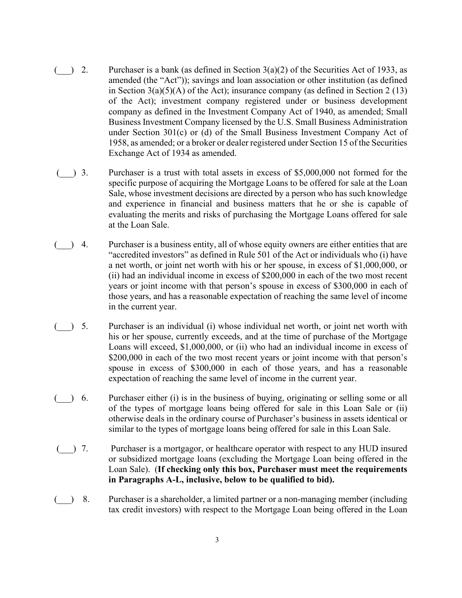- $($ ) 2. Purchaser is a bank (as defined in Section 3(a)(2) of the Securities Act of 1933, as amended (the "Act")); savings and loan association or other institution (as defined in Section  $3(a)(5)(A)$  of the Act); insurance company (as defined in Section 2 (13) of the Act); investment company registered under or business development company as defined in the Investment Company Act of 1940, as amended; Small Business Investment Company licensed by the U.S. Small Business Administration under Section 301(c) or (d) of the Small Business Investment Company Act of 1958, as amended; or a broker or dealer registered under Section 15 of the Securities Exchange Act of 1934 as amended.
- $($ ) 3. Purchaser is a trust with total assets in excess of \$5,000,000 not formed for the specific purpose of acquiring the Mortgage Loans to be offered for sale at the Loan Sale, whose investment decisions are directed by a person who has such knowledge and experience in financial and business matters that he or she is capable of evaluating the merits and risks of purchasing the Mortgage Loans offered for sale at the Loan Sale.
- $($ ) 4. Purchaser is a business entity, all of whose equity owners are either entities that are "accredited investors" as defined in Rule 501 of the Act or individuals who (i) have a net worth, or joint net worth with his or her spouse, in excess of \$1,000,000, or (ii) had an individual income in excess of \$200,000 in each of the two most recent years or joint income with that person's spouse in excess of \$300,000 in each of those years, and has a reasonable expectation of reaching the same level of income in the current year.
- $($ ) 5. Purchaser is an individual (i) whose individual net worth, or joint net worth with his or her spouse, currently exceeds, and at the time of purchase of the Mortgage Loans will exceed, \$1,000,000, or (ii) who had an individual income in excess of \$200,000 in each of the two most recent years or joint income with that person's spouse in excess of \$300,000 in each of those years, and has a reasonable expectation of reaching the same level of income in the current year.
- (\_\_\_) 6. Purchaser either (i) is in the business of buying, originating or selling some or all of the types of mortgage loans being offered for sale in this Loan Sale or (ii) otherwise deals in the ordinary course of Purchaser's business in assets identical or similar to the types of mortgage loans being offered for sale in this Loan Sale.
- (\_\_\_) 7. Purchaser is a mortgagor, or healthcare operator with respect to any HUD insured or subsidized mortgage loans (excluding the Mortgage Loan being offered in the Loan Sale). (**If checking only this box, Purchaser must meet the requirements in Paragraphs A-L, inclusive, below to be qualified to bid).**
- (\_\_\_) 8. Purchaser is a shareholder, a limited partner or a non-managing member (including tax credit investors) with respect to the Mortgage Loan being offered in the Loan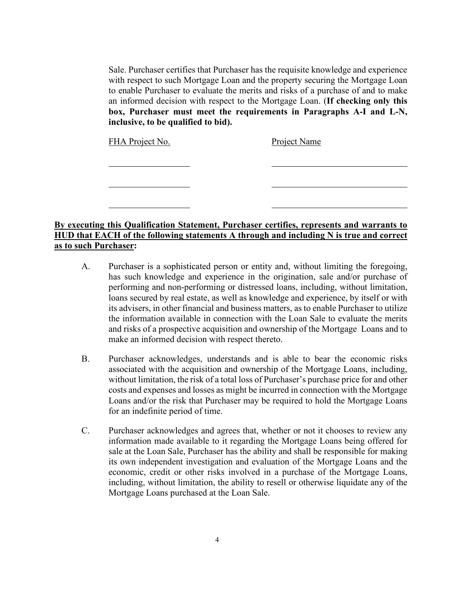Sale. Purchaser certifies that Purchaser has the requisite knowledge and experience with respect to such Mortgage Loan and the property securing the Mortgage Loan to enable Purchaser to evaluate the merits and risks of a purchase of and to make an informed decision with respect to the Mortgage Loan. (**If checking only this box, Purchaser must meet the requirements in Paragraphs A-I and L-N, inclusive, to be qualified to bid).**

FHA Project No. Project Name

**By executing this Qualification Statement, Purchaser certifies, represents and warrants to HUD that EACH of the following statements A through and including N is true and correct as to such Purchaser:**

- A. Purchaser is a sophisticated person or entity and, without limiting the foregoing, has such knowledge and experience in the origination, sale and/or purchase of performing and non-performing or distressed loans, including, without limitation, loans secured by real estate, as well as knowledge and experience, by itself or with its advisers, in other financial and business matters, as to enable Purchaser to utilize the information available in connection with the Loan Sale to evaluate the merits and risks of a prospective acquisition and ownership of the Mortgage Loans and to make an informed decision with respect thereto.
- B. Purchaser acknowledges, understands and is able to bear the economic risks associated with the acquisition and ownership of the Mortgage Loans, including, without limitation, the risk of a total loss of Purchaser's purchase price for and other costs and expenses and losses as might be incurred in connection with the Mortgage Loans and/or the risk that Purchaser may be required to hold the Mortgage Loans for an indefinite period of time.
- C. Purchaser acknowledges and agrees that, whether or not it chooses to review any information made available to it regarding the Mortgage Loans being offered for sale at the Loan Sale, Purchaser has the ability and shall be responsible for making its own independent investigation and evaluation of the Mortgage Loans and the economic, credit or other risks involved in a purchase of the Mortgage Loans, including, without limitation, the ability to resell or otherwise liquidate any of the Mortgage Loans purchased at the Loan Sale.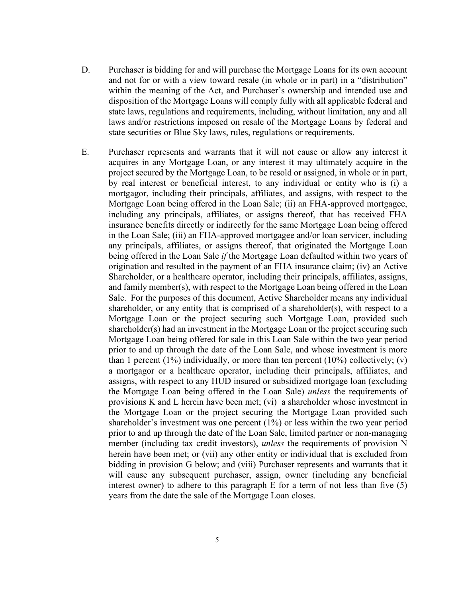- D. Purchaser is bidding for and will purchase the Mortgage Loans for its own account and not for or with a view toward resale (in whole or in part) in a "distribution" within the meaning of the Act, and Purchaser's ownership and intended use and disposition of the Mortgage Loans will comply fully with all applicable federal and state laws, regulations and requirements, including, without limitation, any and all laws and/or restrictions imposed on resale of the Mortgage Loans by federal and state securities or Blue Sky laws, rules, regulations or requirements.
- E. Purchaser represents and warrants that it will not cause or allow any interest it acquires in any Mortgage Loan, or any interest it may ultimately acquire in the project secured by the Mortgage Loan, to be resold or assigned, in whole or in part, by real interest or beneficial interest, to any individual or entity who is (i) a mortgagor, including their principals, affiliates, and assigns, with respect to the Mortgage Loan being offered in the Loan Sale; (ii) an FHA-approved mortgagee, including any principals, affiliates, or assigns thereof, that has received FHA insurance benefits directly or indirectly for the same Mortgage Loan being offered in the Loan Sale; (iii) an FHA-approved mortgagee and/or loan servicer, including any principals, affiliates, or assigns thereof, that originated the Mortgage Loan being offered in the Loan Sale *if* the Mortgage Loan defaulted within two years of origination and resulted in the payment of an FHA insurance claim; (iv) an Active Shareholder, or a healthcare operator, including their principals, affiliates, assigns, and family member(s), with respect to the Mortgage Loan being offered in the Loan Sale. For the purposes of this document, Active Shareholder means any individual shareholder, or any entity that is comprised of a shareholder(s), with respect to a Mortgage Loan or the project securing such Mortgage Loan, provided such shareholder(s) had an investment in the Mortgage Loan or the project securing such Mortgage Loan being offered for sale in this Loan Sale within the two year period prior to and up through the date of the Loan Sale, and whose investment is more than 1 percent  $(1\%)$  individually, or more than ten percent  $(10\%)$  collectively;  $(v)$ a mortgagor or a healthcare operator, including their principals, affiliates, and assigns, with respect to any HUD insured or subsidized mortgage loan (excluding the Mortgage Loan being offered in the Loan Sale) *unless* the requirements of provisions K and L herein have been met; (vi) a shareholder whose investment in the Mortgage Loan or the project securing the Mortgage Loan provided such shareholder's investment was one percent (1%) or less within the two year period prior to and up through the date of the Loan Sale, limited partner or non-managing member (including tax credit investors), *unless* the requirements of provision N herein have been met; or (vii) any other entity or individual that is excluded from bidding in provision G below; and (viii) Purchaser represents and warrants that it will cause any subsequent purchaser, assign, owner (including any beneficial interest owner) to adhere to this paragraph  $E$  for a term of not less than five (5) years from the date the sale of the Mortgage Loan closes.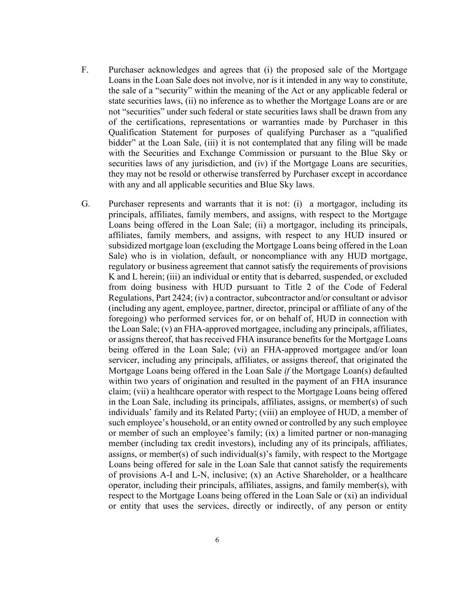- F. Purchaser acknowledges and agrees that (i) the proposed sale of the Mortgage Loans in the Loan Sale does not involve, nor is it intended in any way to constitute, the sale of a "security" within the meaning of the Act or any applicable federal or state securities laws, (ii) no inference as to whether the Mortgage Loans are or are not "securities" under such federal or state securities laws shall be drawn from any of the certifications, representations or warranties made by Purchaser in this Qualification Statement for purposes of qualifying Purchaser as a "qualified bidder" at the Loan Sale, (iii) it is not contemplated that any filing will be made with the Securities and Exchange Commission or pursuant to the Blue Sky or securities laws of any jurisdiction, and (iv) if the Mortgage Loans are securities, they may not be resold or otherwise transferred by Purchaser except in accordance with any and all applicable securities and Blue Sky laws.
- G. Purchaser represents and warrants that it is not: (i) a mortgagor, including its principals, affiliates, family members, and assigns, with respect to the Mortgage Loans being offered in the Loan Sale; (ii) a mortgagor, including its principals, affiliates, family members, and assigns, with respect to any HUD insured or subsidized mortgage loan (excluding the Mortgage Loans being offered in the Loan Sale) who is in violation, default, or noncompliance with any HUD mortgage, regulatory or business agreement that cannot satisfy the requirements of provisions K and L herein; (iii) an individual or entity that is debarred, suspended, or excluded from doing business with HUD pursuant to Title 2 of the Code of Federal Regulations, Part 2424; (iv) a contractor, subcontractor and/or consultant or advisor (including any agent, employee, partner, director, principal or affiliate of any of the foregoing) who performed services for, or on behalf of, HUD in connection with the Loan Sale; (v) an FHA-approved mortgagee, including any principals, affiliates, or assigns thereof, that has received FHA insurance benefits for the Mortgage Loans being offered in the Loan Sale; (vi) an FHA-approved mortgagee and/or loan servicer, including any principals, affiliates, or assigns thereof, that originated the Mortgage Loans being offered in the Loan Sale *if* the Mortgage Loan(s) defaulted within two years of origination and resulted in the payment of an FHA insurance claim; (vii) a healthcare operator with respect to the Mortgage Loans being offered in the Loan Sale, including its principals, affiliates, assigns, or member(s) of such individuals' family and its Related Party; (viii) an employee of HUD, a member of such employee's household, or an entity owned or controlled by any such employee or member of such an employee's family; (ix) a limited partner or non-managing member (including tax credit investors), including any of its principals, affiliates, assigns, or member(s) of such individual(s)'s family, with respect to the Mortgage Loans being offered for sale in the Loan Sale that cannot satisfy the requirements of provisions A-I and L-N, inclusive; (x) an Active Shareholder, or a healthcare operator, including their principals, affiliates, assigns, and family member(s), with respect to the Mortgage Loans being offered in the Loan Sale or (xi) an individual or entity that uses the services, directly or indirectly, of any person or entity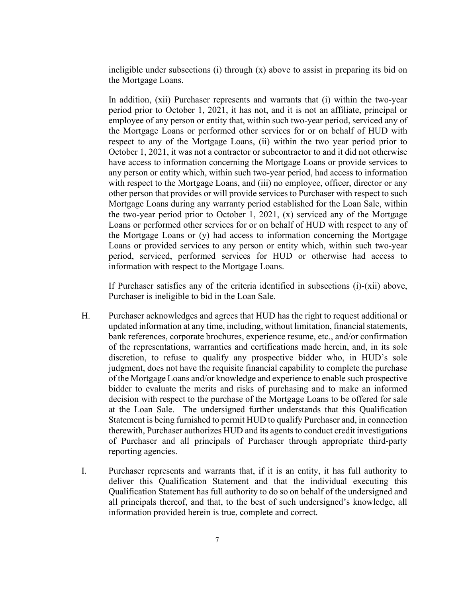ineligible under subsections (i) through (x) above to assist in preparing its bid on the Mortgage Loans.

In addition, (xii) Purchaser represents and warrants that (i) within the two-year period prior to October 1, 2021, it has not, and it is not an affiliate, principal or employee of any person or entity that, within such two-year period, serviced any of the Mortgage Loans or performed other services for or on behalf of HUD with respect to any of the Mortgage Loans, (ii) within the two year period prior to October 1, 2021, it was not a contractor or subcontractor to and it did not otherwise have access to information concerning the Mortgage Loans or provide services to any person or entity which, within such two-year period, had access to information with respect to the Mortgage Loans, and (iii) no employee, officer, director or any other person that provides or will provide services to Purchaser with respect to such Mortgage Loans during any warranty period established for the Loan Sale, within the two-year period prior to October 1, 2021, (x) serviced any of the Mortgage Loans or performed other services for or on behalf of HUD with respect to any of the Mortgage Loans or (y) had access to information concerning the Mortgage Loans or provided services to any person or entity which, within such two-year period, serviced, performed services for HUD or otherwise had access to information with respect to the Mortgage Loans.

If Purchaser satisfies any of the criteria identified in subsections (i)-(xii) above, Purchaser is ineligible to bid in the Loan Sale.

- H. Purchaser acknowledges and agrees that HUD has the right to request additional or updated information at any time, including, without limitation, financial statements, bank references, corporate brochures, experience resume, etc., and/or confirmation of the representations, warranties and certifications made herein, and, in its sole discretion, to refuse to qualify any prospective bidder who, in HUD's sole judgment, does not have the requisite financial capability to complete the purchase of the Mortgage Loans and/or knowledge and experience to enable such prospective bidder to evaluate the merits and risks of purchasing and to make an informed decision with respect to the purchase of the Mortgage Loans to be offered for sale at the Loan Sale. The undersigned further understands that this Qualification Statement is being furnished to permit HUD to qualify Purchaser and, in connection therewith, Purchaser authorizes HUD and its agents to conduct credit investigations of Purchaser and all principals of Purchaser through appropriate third-party reporting agencies.
- I. Purchaser represents and warrants that, if it is an entity, it has full authority to deliver this Qualification Statement and that the individual executing this Qualification Statement has full authority to do so on behalf of the undersigned and all principals thereof, and that, to the best of such undersigned's knowledge, all information provided herein is true, complete and correct.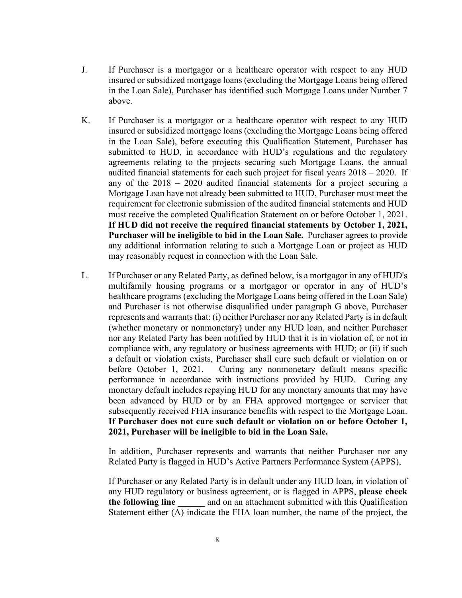- J. If Purchaser is a mortgagor or a healthcare operator with respect to any HUD insured or subsidized mortgage loans (excluding the Mortgage Loans being offered in the Loan Sale), Purchaser has identified such Mortgage Loans under Number 7 above.
- K. If Purchaser is a mortgagor or a healthcare operator with respect to any HUD insured or subsidized mortgage loans (excluding the Mortgage Loans being offered in the Loan Sale), before executing this Qualification Statement, Purchaser has submitted to HUD, in accordance with HUD's regulations and the regulatory agreements relating to the projects securing such Mortgage Loans, the annual audited financial statements for each such project for fiscal years 2018 – 2020. If any of the 2018 – 2020 audited financial statements for a project securing a Mortgage Loan have not already been submitted to HUD, Purchaser must meet the requirement for electronic submission of the audited financial statements and HUD must receive the completed Qualification Statement on or before October 1, 2021. **If HUD did not receive the required financial statements by October 1, 2021, Purchaser will be ineligible to bid in the Loan Sale.** Purchaser agrees to provide any additional information relating to such a Mortgage Loan or project as HUD may reasonably request in connection with the Loan Sale.
- L. If Purchaser or any Related Party, as defined below, is a mortgagor in any of HUD's multifamily housing programs or a mortgagor or operator in any of HUD's healthcare programs (excluding the Mortgage Loans being offered in the Loan Sale) and Purchaser is not otherwise disqualified under paragraph G above, Purchaser represents and warrants that: (i) neither Purchaser nor any Related Party is in default (whether monetary or nonmonetary) under any HUD loan, and neither Purchaser nor any Related Party has been notified by HUD that it is in violation of, or not in compliance with, any regulatory or business agreements with HUD; or (ii) if such a default or violation exists, Purchaser shall cure such default or violation on or before October 1, 2021. Curing any nonmonetary default means specific performance in accordance with instructions provided by HUD. Curing any monetary default includes repaying HUD for any monetary amounts that may have been advanced by HUD or by an FHA approved mortgagee or servicer that subsequently received FHA insurance benefits with respect to the Mortgage Loan. **If Purchaser does not cure such default or violation on or before October 1, 2021, Purchaser will be ineligible to bid in the Loan Sale.**

In addition, Purchaser represents and warrants that neither Purchaser nor any Related Party is flagged in HUD's Active Partners Performance System (APPS),

If Purchaser or any Related Party is in default under any HUD loan, in violation of any HUD regulatory or business agreement, or is flagged in APPS, **please check the following line** and on an attachment submitted with this Qualification Statement either (A) indicate the FHA loan number, the name of the project, the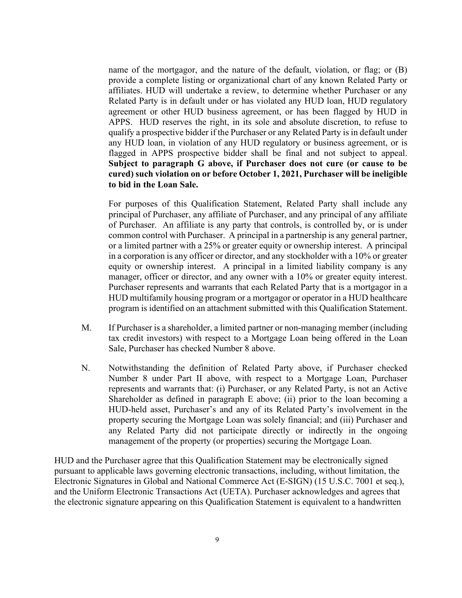name of the mortgagor, and the nature of the default, violation, or flag; or (B) provide a complete listing or organizational chart of any known Related Party or affiliates. HUD will undertake a review, to determine whether Purchaser or any Related Party is in default under or has violated any HUD loan, HUD regulatory agreement or other HUD business agreement, or has been flagged by HUD in APPS. HUD reserves the right, in its sole and absolute discretion, to refuse to qualify a prospective bidder if the Purchaser or any Related Party is in default under any HUD loan, in violation of any HUD regulatory or business agreement, or is flagged in APPS prospective bidder shall be final and not subject to appeal. **Subject to paragraph G above, if Purchaser does not cure (or cause to be cured) such violation on or before October 1, 2021, Purchaser will be ineligible to bid in the Loan Sale.** 

For purposes of this Qualification Statement, Related Party shall include any principal of Purchaser, any affiliate of Purchaser, and any principal of any affiliate of Purchaser. An affiliate is any party that controls, is controlled by, or is under common control with Purchaser. A principal in a partnership is any general partner, or a limited partner with a 25% or greater equity or ownership interest. A principal in a corporation is any officer or director, and any stockholder with a 10% or greater equity or ownership interest. A principal in a limited liability company is any manager, officer or director, and any owner with a 10% or greater equity interest. Purchaser represents and warrants that each Related Party that is a mortgagor in a HUD multifamily housing program or a mortgagor or operator in a HUD healthcare program is identified on an attachment submitted with this Qualification Statement.

- M. If Purchaser is a shareholder, a limited partner or non-managing member (including tax credit investors) with respect to a Mortgage Loan being offered in the Loan Sale, Purchaser has checked Number 8 above.
- N. Notwithstanding the definition of Related Party above, if Purchaser checked Number 8 under Part II above, with respect to a Mortgage Loan, Purchaser represents and warrants that: (i) Purchaser, or any Related Party, is not an Active Shareholder as defined in paragraph E above; (ii) prior to the loan becoming a HUD-held asset, Purchaser's and any of its Related Party's involvement in the property securing the Mortgage Loan was solely financial; and (iii) Purchaser and any Related Party did not participate directly or indirectly in the ongoing management of the property (or properties) securing the Mortgage Loan.

HUD and the Purchaser agree that this Qualification Statement may be electronically signed pursuant to applicable laws governing electronic transactions, including, without limitation, the Electronic Signatures in Global and National Commerce Act (E-SIGN) (15 U.S.C. 7001 et seq.), and the Uniform Electronic Transactions Act (UETA). Purchaser acknowledges and agrees that the electronic signature appearing on this Qualification Statement is equivalent to a handwritten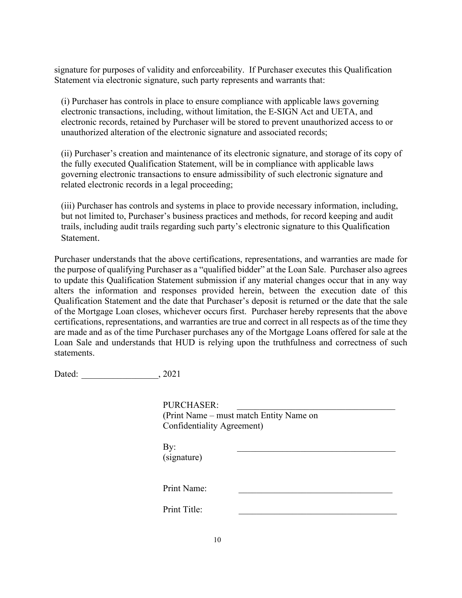signature for purposes of validity and enforceability. If Purchaser executes this Qualification Statement via electronic signature, such party represents and warrants that:

(i) Purchaser has controls in place to ensure compliance with applicable laws governing electronic transactions, including, without limitation, the E-SIGN Act and UETA, and electronic records, retained by Purchaser will be stored to prevent unauthorized access to or unauthorized alteration of the electronic signature and associated records;

(ii) Purchaser's creation and maintenance of its electronic signature, and storage of its copy of the fully executed Qualification Statement, will be in compliance with applicable laws governing electronic transactions to ensure admissibility of such electronic signature and related electronic records in a legal proceeding;

(iii) Purchaser has controls and systems in place to provide necessary information, including, but not limited to, Purchaser's business practices and methods, for record keeping and audit trails, including audit trails regarding such party's electronic signature to this Qualification Statement.

Purchaser understands that the above certifications, representations, and warranties are made for the purpose of qualifying Purchaser as a "qualified bidder" at the Loan Sale. Purchaser also agrees to update this Qualification Statement submission if any material changes occur that in any way alters the information and responses provided herein, between the execution date of this Qualification Statement and the date that Purchaser's deposit is returned or the date that the sale of the Mortgage Loan closes, whichever occurs first. Purchaser hereby represents that the above certifications, representations, and warranties are true and correct in all respects as of the time they are made and as of the time Purchaser purchases any of the Mortgage Loans offered for sale at the Loan Sale and understands that HUD is relying upon the truthfulness and correctness of such statements.

| Dated: | .2021 |
|--------|-------|
|--------|-------|

| PURCHASER:                 |                                         |  |
|----------------------------|-----------------------------------------|--|
|                            | (Print Name – must match Entity Name on |  |
| Confidentiality Agreement) |                                         |  |
| By:<br>(signature)         |                                         |  |
| Print Name:                |                                         |  |
| Print Title:               |                                         |  |
|                            |                                         |  |